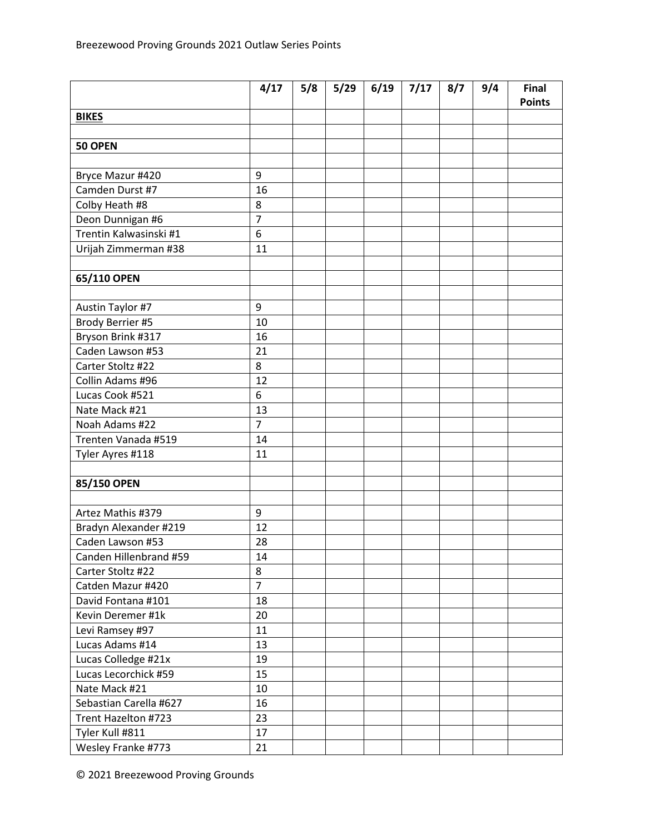|                        | 4/17           | 5/8 | 5/29 | 6/19 | 7/17 | 8/7 | 9/4 | Final<br><b>Points</b> |
|------------------------|----------------|-----|------|------|------|-----|-----|------------------------|
| <b>BIKES</b>           |                |     |      |      |      |     |     |                        |
|                        |                |     |      |      |      |     |     |                        |
| 50 OPEN                |                |     |      |      |      |     |     |                        |
|                        |                |     |      |      |      |     |     |                        |
| Bryce Mazur #420       | 9              |     |      |      |      |     |     |                        |
| Camden Durst #7        | 16             |     |      |      |      |     |     |                        |
| Colby Heath #8         | 8              |     |      |      |      |     |     |                        |
| Deon Dunnigan #6       | $\overline{7}$ |     |      |      |      |     |     |                        |
| Trentin Kalwasinski #1 | 6              |     |      |      |      |     |     |                        |
| Urijah Zimmerman #38   | 11             |     |      |      |      |     |     |                        |
|                        |                |     |      |      |      |     |     |                        |
| 65/110 OPEN            |                |     |      |      |      |     |     |                        |
|                        |                |     |      |      |      |     |     |                        |
| Austin Taylor #7       | 9              |     |      |      |      |     |     |                        |
| Brody Berrier #5       | 10             |     |      |      |      |     |     |                        |
| Bryson Brink #317      | 16             |     |      |      |      |     |     |                        |
| Caden Lawson #53       | 21             |     |      |      |      |     |     |                        |
| Carter Stoltz #22      | 8              |     |      |      |      |     |     |                        |
| Collin Adams #96       | 12             |     |      |      |      |     |     |                        |
| Lucas Cook #521        | 6              |     |      |      |      |     |     |                        |
| Nate Mack #21          | 13             |     |      |      |      |     |     |                        |
| Noah Adams #22         | $\overline{7}$ |     |      |      |      |     |     |                        |
| Trenten Vanada #519    | 14             |     |      |      |      |     |     |                        |
| Tyler Ayres #118       | 11             |     |      |      |      |     |     |                        |
|                        |                |     |      |      |      |     |     |                        |
| 85/150 OPEN            |                |     |      |      |      |     |     |                        |
|                        |                |     |      |      |      |     |     |                        |
| Artez Mathis #379      | 9              |     |      |      |      |     |     |                        |
| Bradyn Alexander #219  | 12             |     |      |      |      |     |     |                        |
| Caden Lawson #53       | 28             |     |      |      |      |     |     |                        |
| Canden Hillenbrand #59 | 14             |     |      |      |      |     |     |                        |
| Carter Stoltz #22      | 8              |     |      |      |      |     |     |                        |
| Catden Mazur #420      | $\overline{7}$ |     |      |      |      |     |     |                        |
| David Fontana #101     | 18             |     |      |      |      |     |     |                        |
| Kevin Deremer #1k      | 20             |     |      |      |      |     |     |                        |
| Levi Ramsey #97        | 11             |     |      |      |      |     |     |                        |
| Lucas Adams #14        | 13             |     |      |      |      |     |     |                        |
| Lucas Colledge #21x    | 19             |     |      |      |      |     |     |                        |
| Lucas Lecorchick #59   | 15             |     |      |      |      |     |     |                        |
| Nate Mack #21          | 10             |     |      |      |      |     |     |                        |
| Sebastian Carella #627 | 16             |     |      |      |      |     |     |                        |
| Trent Hazelton #723    | 23             |     |      |      |      |     |     |                        |
| Tyler Kull #811        | 17             |     |      |      |      |     |     |                        |
| Wesley Franke #773     | 21             |     |      |      |      |     |     |                        |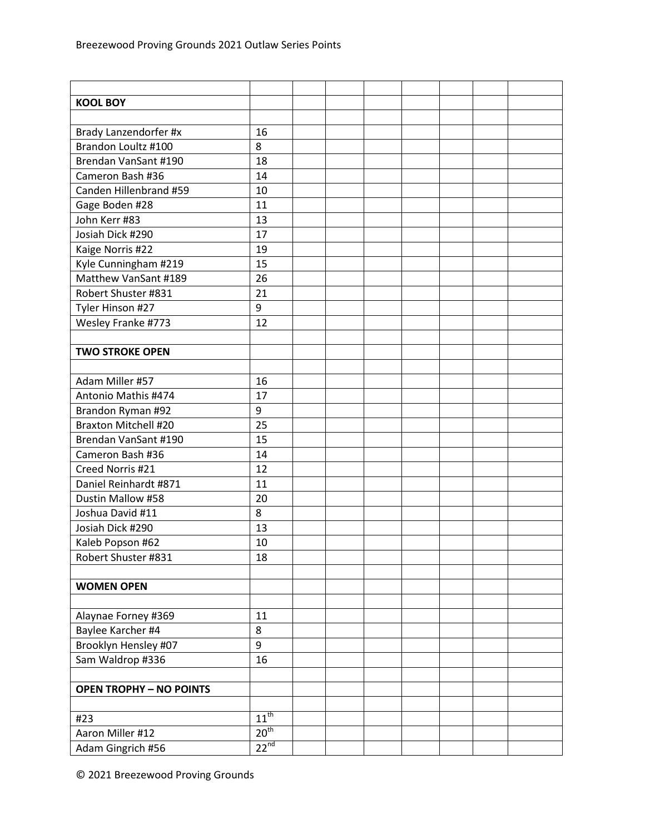| <b>KOOL BOY</b>                |                  |  |  |  |  |
|--------------------------------|------------------|--|--|--|--|
|                                |                  |  |  |  |  |
| Brady Lanzendorfer #x          | 16               |  |  |  |  |
| Brandon Loultz #100            | 8                |  |  |  |  |
| Brendan VanSant #190           | 18               |  |  |  |  |
| Cameron Bash #36               | 14               |  |  |  |  |
| Canden Hillenbrand #59         | 10               |  |  |  |  |
| Gage Boden #28                 | 11               |  |  |  |  |
| John Kerr #83                  | 13               |  |  |  |  |
| Josiah Dick #290               | 17               |  |  |  |  |
| Kaige Norris #22               | 19               |  |  |  |  |
| Kyle Cunningham #219           | 15               |  |  |  |  |
| Matthew VanSant #189           | 26               |  |  |  |  |
| Robert Shuster #831            | 21               |  |  |  |  |
| Tyler Hinson #27               | 9                |  |  |  |  |
| Wesley Franke #773             | 12               |  |  |  |  |
|                                |                  |  |  |  |  |
| <b>TWO STROKE OPEN</b>         |                  |  |  |  |  |
|                                |                  |  |  |  |  |
| Adam Miller #57                | 16               |  |  |  |  |
| Antonio Mathis #474            | 17               |  |  |  |  |
| Brandon Ryman #92              | 9                |  |  |  |  |
| <b>Braxton Mitchell #20</b>    | 25               |  |  |  |  |
| Brendan VanSant #190           | 15               |  |  |  |  |
| Cameron Bash #36               | 14               |  |  |  |  |
| Creed Norris #21               | 12               |  |  |  |  |
| Daniel Reinhardt #871          | 11               |  |  |  |  |
| Dustin Mallow #58              | 20               |  |  |  |  |
| Joshua David #11               | 8                |  |  |  |  |
| Josiah Dick #290               | 13               |  |  |  |  |
| Kaleb Popson #62               | 10               |  |  |  |  |
| Robert Shuster #831            | 18               |  |  |  |  |
|                                |                  |  |  |  |  |
| <b>WOMEN OPEN</b>              |                  |  |  |  |  |
|                                |                  |  |  |  |  |
| Alaynae Forney #369            | 11               |  |  |  |  |
| Baylee Karcher #4              | 8                |  |  |  |  |
| Brooklyn Hensley #07           | $\boldsymbol{9}$ |  |  |  |  |
| Sam Waldrop #336               | 16               |  |  |  |  |
|                                |                  |  |  |  |  |
| <b>OPEN TROPHY - NO POINTS</b> |                  |  |  |  |  |
|                                |                  |  |  |  |  |
| #23                            | $11^{th}$        |  |  |  |  |
| Aaron Miller #12               | 20 <sup>th</sup> |  |  |  |  |
| Adam Gingrich #56              | $22^{nd}$        |  |  |  |  |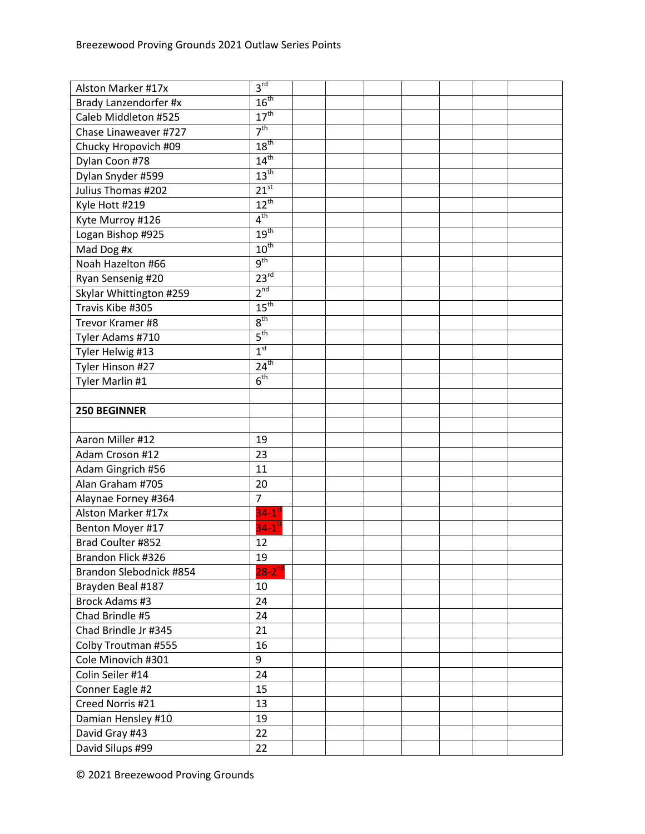| Alston Marker #17x      | 3 <sup>rd</sup>      |  |  |  |  |
|-------------------------|----------------------|--|--|--|--|
| Brady Lanzendorfer #x   | 16 <sup>th</sup>     |  |  |  |  |
| Caleb Middleton #525    | 17 <sup>th</sup>     |  |  |  |  |
| Chase Linaweaver #727   | 7 <sup>th</sup>      |  |  |  |  |
| Chucky Hropovich #09    | 18 <sup>th</sup>     |  |  |  |  |
| Dylan Coon #78          | $14^{\text{th}}$     |  |  |  |  |
| Dylan Snyder #599       | 13 <sup>th</sup>     |  |  |  |  |
| Julius Thomas #202      | $21^{st}$            |  |  |  |  |
| Kyle Hott #219          | $12^{th}$            |  |  |  |  |
| Kyte Murroy #126        | 4 <sup>th</sup>      |  |  |  |  |
| Logan Bishop #925       | 19 <sup>th</sup>     |  |  |  |  |
| Mad Dog #x              | 10 <sup>th</sup>     |  |  |  |  |
| Noah Hazelton #66       | 9 <sup>th</sup>      |  |  |  |  |
| Ryan Sensenig #20       | $23^{rd}$            |  |  |  |  |
| Skylar Whittington #259 | 2 <sup>nd</sup>      |  |  |  |  |
| Travis Kibe #305        | 15 <sup>th</sup>     |  |  |  |  |
| Trevor Kramer #8        | $8^{\text{th}}$      |  |  |  |  |
| Tyler Adams #710        | $5^{\text{th}}$      |  |  |  |  |
| Tyler Helwig #13        | 1 <sup>st</sup>      |  |  |  |  |
| Tyler Hinson #27        | $24^{th}$            |  |  |  |  |
| Tyler Marlin #1         | 6 <sup>th</sup>      |  |  |  |  |
|                         |                      |  |  |  |  |
| <b>250 BEGINNER</b>     |                      |  |  |  |  |
|                         |                      |  |  |  |  |
| Aaron Miller #12        | 19                   |  |  |  |  |
| Adam Croson #12         | 23                   |  |  |  |  |
| Adam Gingrich #56       | 11                   |  |  |  |  |
| Alan Graham #705        | 20                   |  |  |  |  |
| Alaynae Forney #364     | $\overline{7}$       |  |  |  |  |
| Alston Marker #17x      | $34-1$ <sup>st</sup> |  |  |  |  |
| Benton Moyer #17        | $34-1$ <sup>st</sup> |  |  |  |  |
| Brad Coulter #852       | 12                   |  |  |  |  |
| Brandon Flick #326      | 19                   |  |  |  |  |
| Brandon Slebodnick #854 | $28-2^{nd}$          |  |  |  |  |
| Brayden Beal #187       | 10                   |  |  |  |  |
| Brock Adams #3          | 24                   |  |  |  |  |
| Chad Brindle #5         | 24                   |  |  |  |  |
| Chad Brindle Jr #345    | 21                   |  |  |  |  |
| Colby Troutman #555     | 16                   |  |  |  |  |
| Cole Minovich #301      | 9                    |  |  |  |  |
| Colin Seiler #14        | 24                   |  |  |  |  |
| Conner Eagle #2         | 15                   |  |  |  |  |
| Creed Norris #21        | 13                   |  |  |  |  |
| Damian Hensley #10      | 19                   |  |  |  |  |
| David Gray #43          | 22                   |  |  |  |  |
| David Silups #99        | 22                   |  |  |  |  |
|                         |                      |  |  |  |  |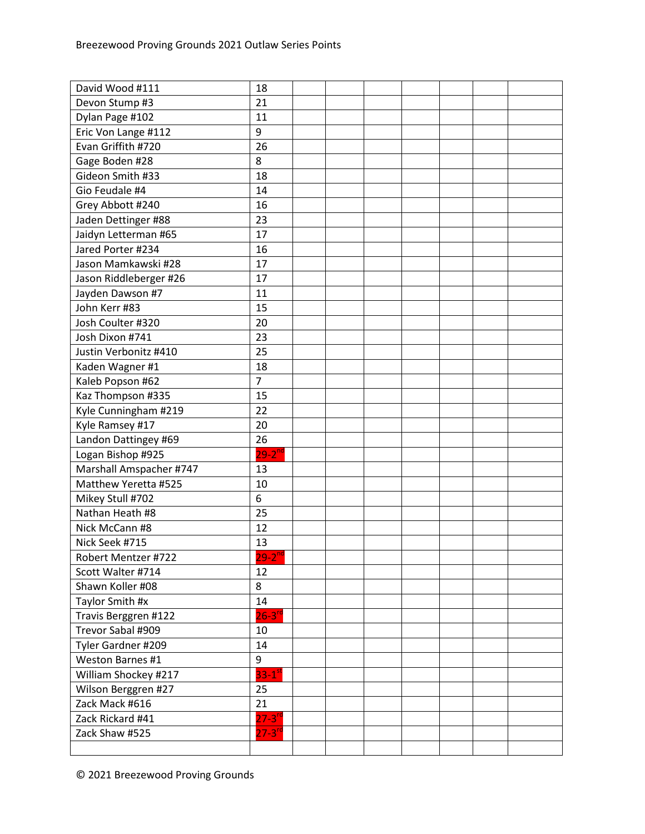| David Wood #111         | 18             |  |  |  |  |
|-------------------------|----------------|--|--|--|--|
| Devon Stump #3          | 21             |  |  |  |  |
| Dylan Page #102         | 11             |  |  |  |  |
| Eric Von Lange #112     | 9              |  |  |  |  |
| Evan Griffith #720      | 26             |  |  |  |  |
| Gage Boden #28          | 8              |  |  |  |  |
| Gideon Smith #33        | 18             |  |  |  |  |
| Gio Feudale #4          | 14             |  |  |  |  |
| Grey Abbott #240        | 16             |  |  |  |  |
| Jaden Dettinger #88     | 23             |  |  |  |  |
| Jaidyn Letterman #65    | 17             |  |  |  |  |
| Jared Porter #234       | 16             |  |  |  |  |
| Jason Mamkawski #28     | 17             |  |  |  |  |
| Jason Riddleberger #26  | 17             |  |  |  |  |
| Jayden Dawson #7        | 11             |  |  |  |  |
| John Kerr #83           | 15             |  |  |  |  |
| Josh Coulter #320       | 20             |  |  |  |  |
| Josh Dixon #741         | 23             |  |  |  |  |
| Justin Verbonitz #410   | 25             |  |  |  |  |
| Kaden Wagner #1         | 18             |  |  |  |  |
| Kaleb Popson #62        | $\overline{7}$ |  |  |  |  |
| Kaz Thompson #335       | 15             |  |  |  |  |
| Kyle Cunningham #219    | 22             |  |  |  |  |
| Kyle Ramsey #17         | 20             |  |  |  |  |
| Landon Dattingey #69    | 26             |  |  |  |  |
| Logan Bishop #925       | $29-2^{nd}$    |  |  |  |  |
| Marshall Amspacher #747 | 13             |  |  |  |  |
| Matthew Yeretta #525    | 10             |  |  |  |  |
| Mikey Stull #702        | 6              |  |  |  |  |
| Nathan Heath #8         | 25             |  |  |  |  |
| Nick McCann #8          | 12             |  |  |  |  |
| Nick Seek #715          | 13             |  |  |  |  |
| Robert Mentzer #722     | $29 - 2^{nq}$  |  |  |  |  |
| Scott Walter #714       | 12             |  |  |  |  |
| Shawn Koller #08        | 8              |  |  |  |  |
| Taylor Smith #x         | 14             |  |  |  |  |
| Travis Berggren #122    | $26 - 3^{rd}$  |  |  |  |  |
| Trevor Sabal #909       | 10             |  |  |  |  |
| Tyler Gardner #209      | 14             |  |  |  |  |
| Weston Barnes #1        | 9              |  |  |  |  |
| William Shockey #217    | $33 - 1^{st}$  |  |  |  |  |
| Wilson Berggren #27     | 25             |  |  |  |  |
| Zack Mack #616          | 21             |  |  |  |  |
| Zack Rickard #41        | $27 - 3^{rd}$  |  |  |  |  |
| Zack Shaw #525          | $27 - 3^{rd}$  |  |  |  |  |
|                         |                |  |  |  |  |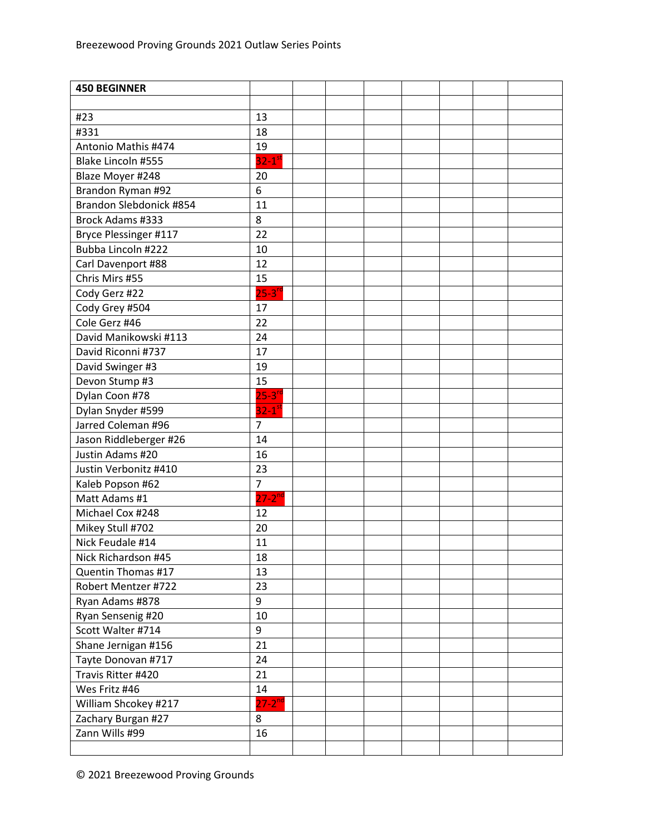| <b>450 BEGINNER</b>     |                        |  |  |  |  |
|-------------------------|------------------------|--|--|--|--|
|                         |                        |  |  |  |  |
| #23                     | 13                     |  |  |  |  |
| #331                    | 18                     |  |  |  |  |
| Antonio Mathis #474     | 19                     |  |  |  |  |
| Blake Lincoln #555      | $32-1$ <sup>st</sup>   |  |  |  |  |
| Blaze Moyer #248        | 20                     |  |  |  |  |
| Brandon Ryman #92       | 6                      |  |  |  |  |
| Brandon Slebdonick #854 | 11                     |  |  |  |  |
| <b>Brock Adams #333</b> | 8                      |  |  |  |  |
| Bryce Plessinger #117   | 22                     |  |  |  |  |
| Bubba Lincoln #222      | 10                     |  |  |  |  |
| Carl Davenport #88      | 12                     |  |  |  |  |
| Chris Mirs #55          | 15                     |  |  |  |  |
| Cody Gerz #22           | $25 - 3^{rd}$          |  |  |  |  |
| Cody Grey #504          | 17                     |  |  |  |  |
| Cole Gerz #46           | 22                     |  |  |  |  |
| David Manikowski #113   | 24                     |  |  |  |  |
| David Riconni #737      | 17                     |  |  |  |  |
| David Swinger #3        | 19                     |  |  |  |  |
| Devon Stump #3          | 15                     |  |  |  |  |
| Dylan Coon #78          | $25-3$ <sup>rd</sup>   |  |  |  |  |
| Dylan Snyder #599       | $32 - 1$ <sup>st</sup> |  |  |  |  |
| Jarred Coleman #96      | $\overline{7}$         |  |  |  |  |
| Jason Riddleberger #26  | 14                     |  |  |  |  |
| Justin Adams #20        | 16                     |  |  |  |  |
| Justin Verbonitz #410   | 23                     |  |  |  |  |
| Kaleb Popson #62        | $\overline{7}$         |  |  |  |  |
| Matt Adams #1           | $27-2$ <sup>nd</sup>   |  |  |  |  |
| Michael Cox #248        | 12                     |  |  |  |  |
| Mikey Stull #702        | 20                     |  |  |  |  |
| Nick Feudale #14        | 11                     |  |  |  |  |
| Nick Richardson #45     | 18                     |  |  |  |  |
| Quentin Thomas #17      | 13                     |  |  |  |  |
| Robert Mentzer #722     | 23                     |  |  |  |  |
| Ryan Adams #878         | 9                      |  |  |  |  |
| Ryan Sensenig #20       | 10                     |  |  |  |  |
| Scott Walter #714       | 9                      |  |  |  |  |
| Shane Jernigan #156     | 21                     |  |  |  |  |
| Tayte Donovan #717      | 24                     |  |  |  |  |
| Travis Ritter #420      | 21                     |  |  |  |  |
| Wes Fritz #46           | 14                     |  |  |  |  |
| William Shcokey #217    | $27 - 2^{nd}$          |  |  |  |  |
| Zachary Burgan #27      | 8                      |  |  |  |  |
| Zann Wills #99          | 16                     |  |  |  |  |
|                         |                        |  |  |  |  |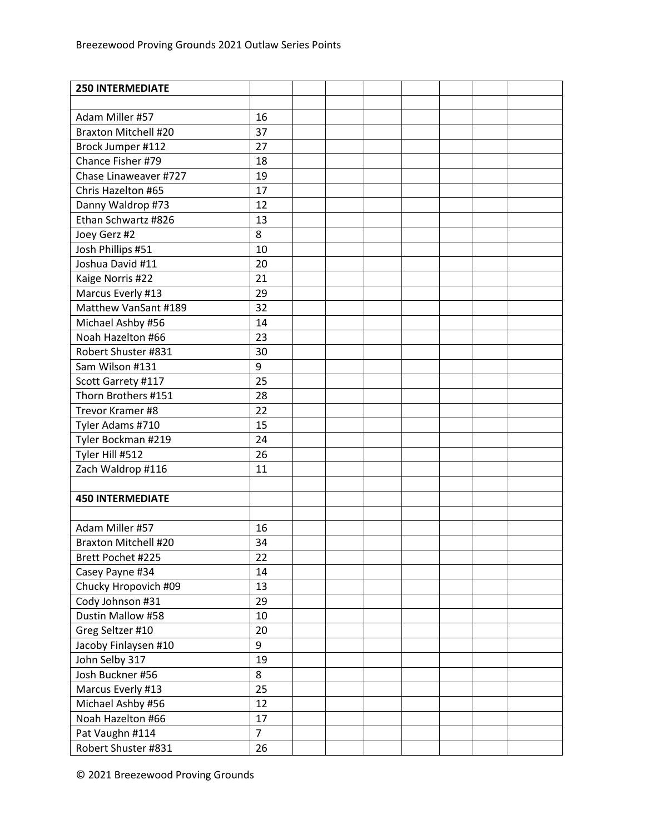| <b>250 INTERMEDIATE</b>     |                |  |  |  |  |
|-----------------------------|----------------|--|--|--|--|
|                             |                |  |  |  |  |
| Adam Miller #57             | 16             |  |  |  |  |
| <b>Braxton Mitchell #20</b> | 37             |  |  |  |  |
| Brock Jumper #112           | 27             |  |  |  |  |
| Chance Fisher #79           | 18             |  |  |  |  |
| Chase Linaweaver #727       | 19             |  |  |  |  |
| Chris Hazelton #65          | 17             |  |  |  |  |
| Danny Waldrop #73           | 12             |  |  |  |  |
| Ethan Schwartz #826         | 13             |  |  |  |  |
| Joey Gerz #2                | 8              |  |  |  |  |
| Josh Phillips #51           | 10             |  |  |  |  |
| Joshua David #11            | 20             |  |  |  |  |
| Kaige Norris #22            | 21             |  |  |  |  |
| Marcus Everly #13           | 29             |  |  |  |  |
| Matthew VanSant #189        | 32             |  |  |  |  |
| Michael Ashby #56           | 14             |  |  |  |  |
| Noah Hazelton #66           | 23             |  |  |  |  |
| Robert Shuster #831         | 30             |  |  |  |  |
| Sam Wilson #131             | 9              |  |  |  |  |
| Scott Garrety #117          | 25             |  |  |  |  |
| Thorn Brothers #151         | 28             |  |  |  |  |
| Trevor Kramer #8            | 22             |  |  |  |  |
| Tyler Adams #710            | 15             |  |  |  |  |
| Tyler Bockman #219          | 24             |  |  |  |  |
| Tyler Hill #512             | 26             |  |  |  |  |
| Zach Waldrop #116           | 11             |  |  |  |  |
|                             |                |  |  |  |  |
| <b>450 INTERMEDIATE</b>     |                |  |  |  |  |
|                             |                |  |  |  |  |
| Adam Miller #57             | 16             |  |  |  |  |
| <b>Braxton Mitchell #20</b> | 34             |  |  |  |  |
| Brett Pochet #225           | 22             |  |  |  |  |
| Casey Payne #34             | 14             |  |  |  |  |
| Chucky Hropovich #09        | 13             |  |  |  |  |
| Cody Johnson #31            | 29             |  |  |  |  |
| Dustin Mallow #58           | 10             |  |  |  |  |
| Greg Seltzer #10            | 20             |  |  |  |  |
| Jacoby Finlaysen #10        | 9              |  |  |  |  |
| John Selby 317              | 19             |  |  |  |  |
| Josh Buckner #56            | 8              |  |  |  |  |
| Marcus Everly #13           | 25             |  |  |  |  |
| Michael Ashby #56           | 12             |  |  |  |  |
| Noah Hazelton #66           | 17             |  |  |  |  |
| Pat Vaughn #114             | $\overline{7}$ |  |  |  |  |
| Robert Shuster #831         | 26             |  |  |  |  |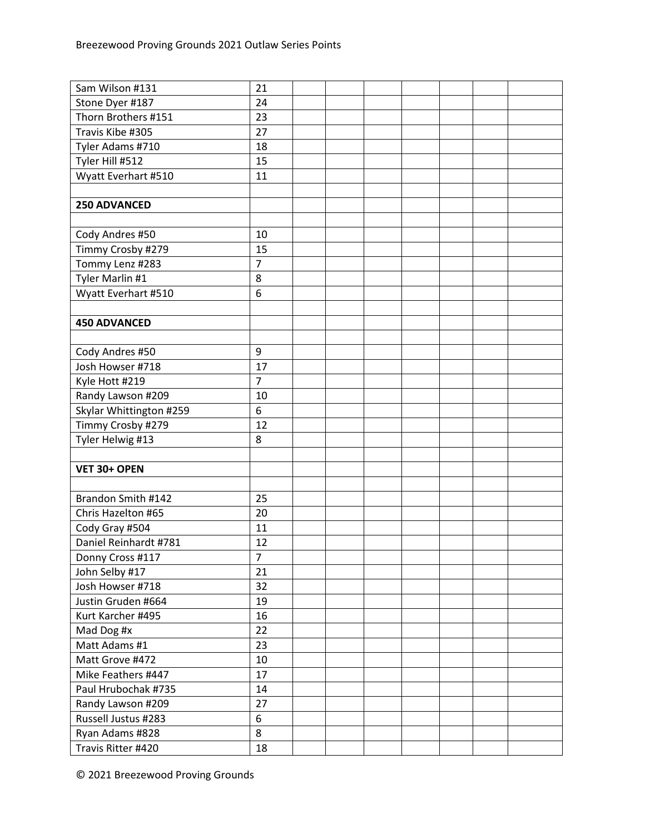| Sam Wilson #131         | 21             |  |  |  |  |
|-------------------------|----------------|--|--|--|--|
| Stone Dyer #187         | 24             |  |  |  |  |
| Thorn Brothers #151     | 23             |  |  |  |  |
| Travis Kibe #305        | 27             |  |  |  |  |
| Tyler Adams #710        | 18             |  |  |  |  |
| Tyler Hill #512         | 15             |  |  |  |  |
| Wyatt Everhart #510     | 11             |  |  |  |  |
|                         |                |  |  |  |  |
| 250 ADVANCED            |                |  |  |  |  |
|                         |                |  |  |  |  |
| Cody Andres #50         | 10             |  |  |  |  |
| Timmy Crosby #279       | 15             |  |  |  |  |
| Tommy Lenz #283         | $\overline{7}$ |  |  |  |  |
| Tyler Marlin #1         | 8              |  |  |  |  |
| Wyatt Everhart #510     | 6              |  |  |  |  |
|                         |                |  |  |  |  |
| <b>450 ADVANCED</b>     |                |  |  |  |  |
|                         |                |  |  |  |  |
| Cody Andres #50         | 9              |  |  |  |  |
| Josh Howser #718        | 17             |  |  |  |  |
| Kyle Hott #219          | $\overline{7}$ |  |  |  |  |
| Randy Lawson #209       | 10             |  |  |  |  |
| Skylar Whittington #259 | 6              |  |  |  |  |
| Timmy Crosby #279       | 12             |  |  |  |  |
| Tyler Helwig #13        | 8              |  |  |  |  |
|                         |                |  |  |  |  |
| VET 30+ OPEN            |                |  |  |  |  |
|                         |                |  |  |  |  |
| Brandon Smith #142      | 25             |  |  |  |  |
| Chris Hazelton #65      | 20             |  |  |  |  |
| Cody Gray #504          | 11             |  |  |  |  |
| Daniel Reinhardt #781   | 12             |  |  |  |  |
| Donny Cross #117        | 7              |  |  |  |  |
| John Selby #17          | 21             |  |  |  |  |
| Josh Howser #718        | 32             |  |  |  |  |
| Justin Gruden #664      | 19             |  |  |  |  |
| Kurt Karcher #495       | 16             |  |  |  |  |
| Mad Dog #x              | 22             |  |  |  |  |
| Matt Adams #1           | 23             |  |  |  |  |
| Matt Grove #472         | 10             |  |  |  |  |
| Mike Feathers #447      | 17             |  |  |  |  |
| Paul Hrubochak #735     | 14             |  |  |  |  |
| Randy Lawson #209       | 27             |  |  |  |  |
| Russell Justus #283     | 6              |  |  |  |  |
| Ryan Adams #828         | 8              |  |  |  |  |
| Travis Ritter #420      | 18             |  |  |  |  |
|                         |                |  |  |  |  |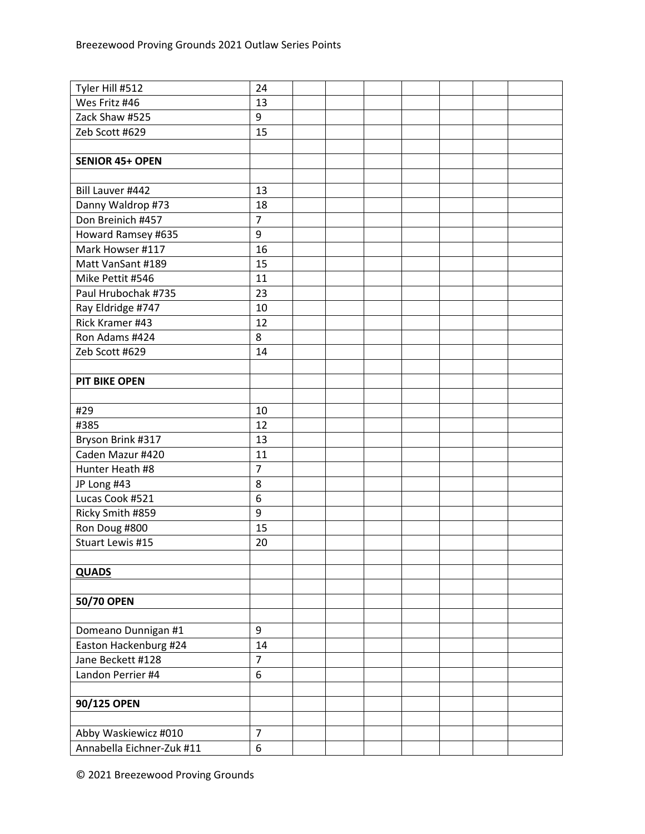| Tyler Hill #512           | 24             |  |  |  |  |
|---------------------------|----------------|--|--|--|--|
| Wes Fritz #46             | 13             |  |  |  |  |
| Zack Shaw #525            | 9              |  |  |  |  |
| Zeb Scott #629            | 15             |  |  |  |  |
|                           |                |  |  |  |  |
| <b>SENIOR 45+ OPEN</b>    |                |  |  |  |  |
|                           |                |  |  |  |  |
| Bill Lauver #442          | 13             |  |  |  |  |
| Danny Waldrop #73         | 18             |  |  |  |  |
| Don Breinich #457         | $\overline{7}$ |  |  |  |  |
| Howard Ramsey #635        | 9              |  |  |  |  |
| Mark Howser #117          | 16             |  |  |  |  |
| Matt VanSant #189         | 15             |  |  |  |  |
| Mike Pettit #546          | 11             |  |  |  |  |
| Paul Hrubochak #735       | 23             |  |  |  |  |
| Ray Eldridge #747         | 10             |  |  |  |  |
| Rick Kramer #43           | 12             |  |  |  |  |
| Ron Adams #424            | 8              |  |  |  |  |
| Zeb Scott #629            | 14             |  |  |  |  |
|                           |                |  |  |  |  |
| <b>PIT BIKE OPEN</b>      |                |  |  |  |  |
|                           |                |  |  |  |  |
| #29                       | 10             |  |  |  |  |
| #385                      | 12             |  |  |  |  |
| Bryson Brink #317         | 13             |  |  |  |  |
| Caden Mazur #420          | 11             |  |  |  |  |
| Hunter Heath #8           | $\overline{7}$ |  |  |  |  |
| JP Long #43               | 8              |  |  |  |  |
| Lucas Cook #521           | $\overline{6}$ |  |  |  |  |
| Ricky Smith #859          | 9              |  |  |  |  |
| Ron Doug #800             | 15             |  |  |  |  |
| Stuart Lewis #15          | 20             |  |  |  |  |
|                           |                |  |  |  |  |
| <b>QUADS</b>              |                |  |  |  |  |
|                           |                |  |  |  |  |
| 50/70 OPEN                |                |  |  |  |  |
|                           |                |  |  |  |  |
| Domeano Dunnigan #1       | 9              |  |  |  |  |
| Easton Hackenburg #24     | 14             |  |  |  |  |
| Jane Beckett #128         | $\overline{7}$ |  |  |  |  |
| Landon Perrier #4         | 6              |  |  |  |  |
|                           |                |  |  |  |  |
| 90/125 OPEN               |                |  |  |  |  |
|                           |                |  |  |  |  |
| Abby Waskiewicz #010      | $\overline{7}$ |  |  |  |  |
| Annabella Eichner-Zuk #11 | 6              |  |  |  |  |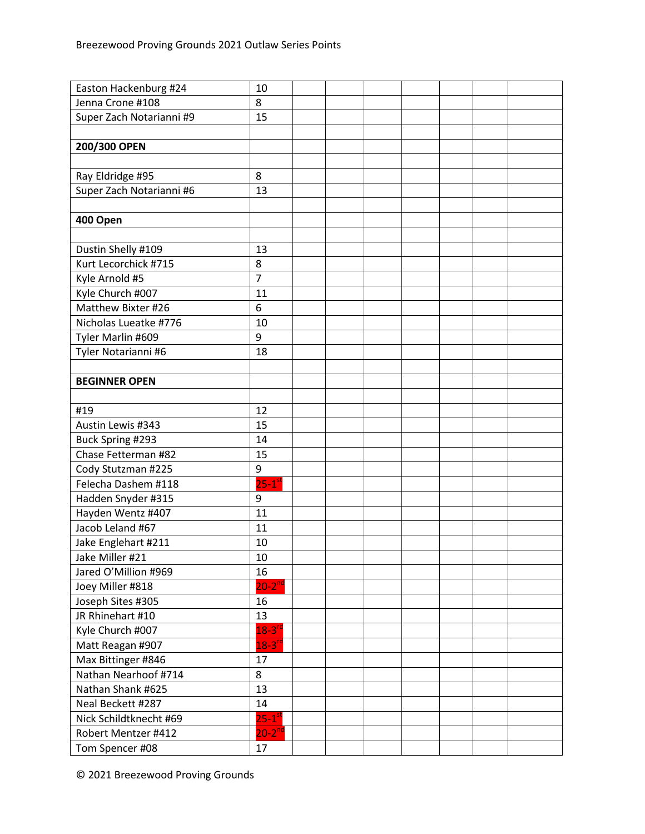| Easton Hackenburg #24    | 10                   |  |  |  |  |
|--------------------------|----------------------|--|--|--|--|
| Jenna Crone #108         | 8                    |  |  |  |  |
| Super Zach Notarianni #9 | 15                   |  |  |  |  |
|                          |                      |  |  |  |  |
| 200/300 OPEN             |                      |  |  |  |  |
|                          |                      |  |  |  |  |
| Ray Eldridge #95         | 8                    |  |  |  |  |
| Super Zach Notarianni #6 | 13                   |  |  |  |  |
|                          |                      |  |  |  |  |
| 400 Open                 |                      |  |  |  |  |
|                          |                      |  |  |  |  |
| Dustin Shelly #109       | 13                   |  |  |  |  |
| Kurt Lecorchick #715     | 8                    |  |  |  |  |
| Kyle Arnold #5           | $\overline{7}$       |  |  |  |  |
| Kyle Church #007         | 11                   |  |  |  |  |
| Matthew Bixter #26       | 6                    |  |  |  |  |
| Nicholas Lueatke #776    | 10                   |  |  |  |  |
| Tyler Marlin #609        | 9                    |  |  |  |  |
| Tyler Notarianni #6      | 18                   |  |  |  |  |
|                          |                      |  |  |  |  |
| <b>BEGINNER OPEN</b>     |                      |  |  |  |  |
|                          |                      |  |  |  |  |
| #19                      | 12                   |  |  |  |  |
| Austin Lewis #343        | 15                   |  |  |  |  |
| Buck Spring #293         | 14                   |  |  |  |  |
| Chase Fetterman #82      | 15                   |  |  |  |  |
| Cody Stutzman #225       | 9                    |  |  |  |  |
| Felecha Dashem #118      | $25-1$ <sup>st</sup> |  |  |  |  |
| Hadden Snyder #315       | 9                    |  |  |  |  |
| Hayden Wentz #407        | 11                   |  |  |  |  |
| Jacob Leland #67         | 11                   |  |  |  |  |
| Jake Englehart #211      | 10                   |  |  |  |  |
| Jake Miller #21          | 10                   |  |  |  |  |
| Jared O'Million #969     | 16                   |  |  |  |  |
| Joey Miller #818         | $20 - 2^{nd}$        |  |  |  |  |
| Joseph Sites #305        | 16                   |  |  |  |  |
| JR Rhinehart #10         | 13                   |  |  |  |  |
| Kyle Church #007         | $18-3$ <sup>rc</sup> |  |  |  |  |
| Matt Reagan #907         | $18 - 3^{10}$        |  |  |  |  |
| Max Bittinger #846       | 17                   |  |  |  |  |
| Nathan Nearhoof #714     | 8                    |  |  |  |  |
| Nathan Shank #625        | 13                   |  |  |  |  |
| Neal Beckett #287        | 14                   |  |  |  |  |
| Nick Schildtknecht #69   | $25-1$ <sup>st</sup> |  |  |  |  |
| Robert Mentzer #412      | $20-2^{nd}$          |  |  |  |  |
| Tom Spencer #08          | 17                   |  |  |  |  |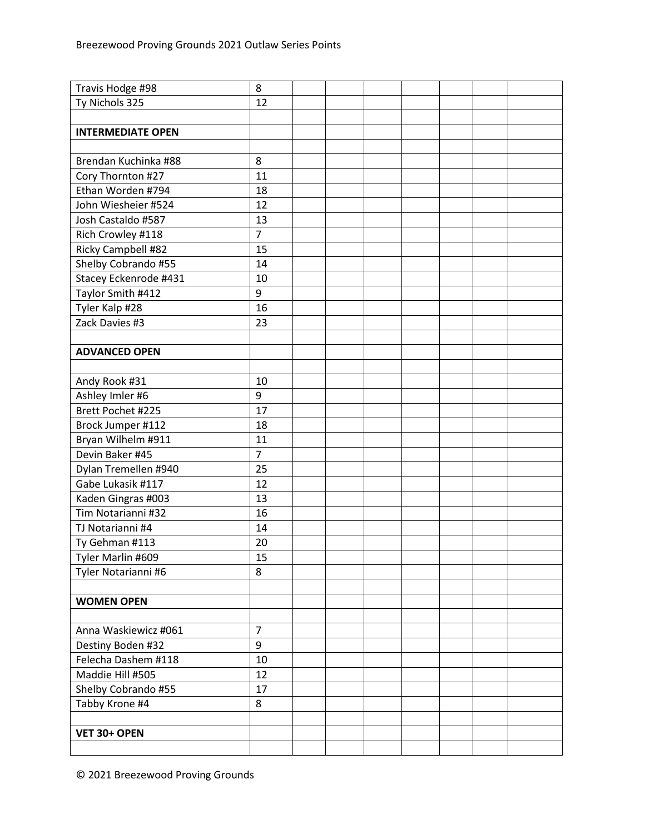| Travis Hodge #98         | 8              |  |  |  |  |
|--------------------------|----------------|--|--|--|--|
| Ty Nichols 325           | 12             |  |  |  |  |
|                          |                |  |  |  |  |
| <b>INTERMEDIATE OPEN</b> |                |  |  |  |  |
|                          |                |  |  |  |  |
| Brendan Kuchinka #88     | 8              |  |  |  |  |
| Cory Thornton #27        | 11             |  |  |  |  |
| Ethan Worden #794        | 18             |  |  |  |  |
| John Wiesheier #524      | 12             |  |  |  |  |
| Josh Castaldo #587       | 13             |  |  |  |  |
| Rich Crowley #118        | $\overline{7}$ |  |  |  |  |
| Ricky Campbell #82       | 15             |  |  |  |  |
| Shelby Cobrando #55      | 14             |  |  |  |  |
| Stacey Eckenrode #431    | 10             |  |  |  |  |
| Taylor Smith #412        | 9              |  |  |  |  |
| Tyler Kalp #28           | 16             |  |  |  |  |
| Zack Davies #3           | 23             |  |  |  |  |
|                          |                |  |  |  |  |
| <b>ADVANCED OPEN</b>     |                |  |  |  |  |
|                          |                |  |  |  |  |
| Andy Rook #31            | 10             |  |  |  |  |
| Ashley Imler #6          | 9              |  |  |  |  |
| Brett Pochet #225        | 17             |  |  |  |  |
| Brock Jumper #112        | 18             |  |  |  |  |
| Bryan Wilhelm #911       | 11             |  |  |  |  |
| Devin Baker #45          | $\overline{7}$ |  |  |  |  |
| Dylan Tremellen #940     | 25             |  |  |  |  |
| Gabe Lukasik #117        | 12             |  |  |  |  |
| Kaden Gingras #003       | 13             |  |  |  |  |
| Tim Notarianni #32       | 16             |  |  |  |  |
| TJ Notarianni #4         | 14             |  |  |  |  |
| Ty Gehman #113           | 20             |  |  |  |  |
| Tyler Marlin #609        | 15             |  |  |  |  |
| Tyler Notarianni #6      | 8              |  |  |  |  |
|                          |                |  |  |  |  |
| <b>WOMEN OPEN</b>        |                |  |  |  |  |
|                          |                |  |  |  |  |
| Anna Waskiewicz #061     | $\overline{7}$ |  |  |  |  |
| Destiny Boden #32        | 9              |  |  |  |  |
| Felecha Dashem #118      | 10             |  |  |  |  |
| Maddie Hill #505         | 12             |  |  |  |  |
| Shelby Cobrando #55      | 17             |  |  |  |  |
| Tabby Krone #4           | 8              |  |  |  |  |
|                          |                |  |  |  |  |
| VET 30+ OPEN             |                |  |  |  |  |
|                          |                |  |  |  |  |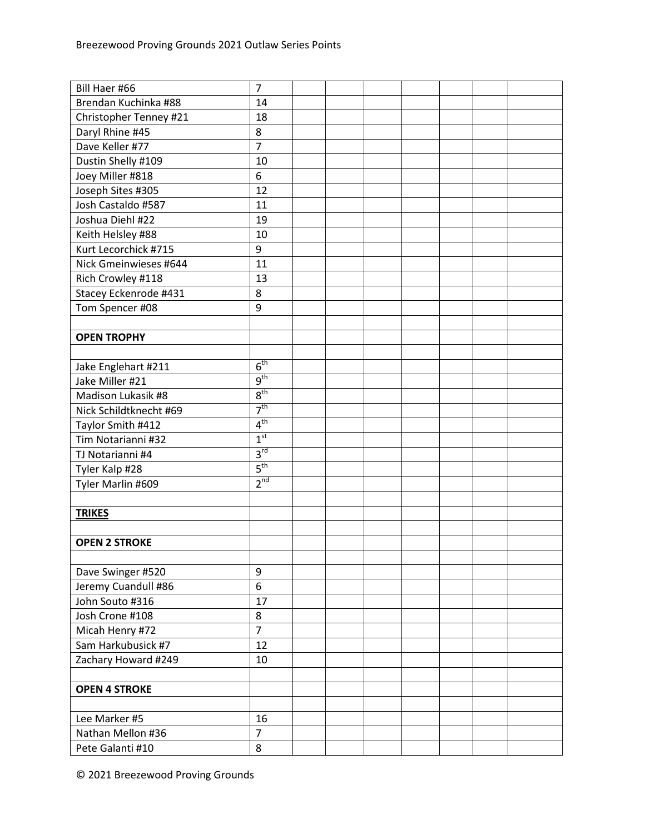| Bill Haer #66          | $\overline{7}$  |  |  |  |  |
|------------------------|-----------------|--|--|--|--|
| Brendan Kuchinka #88   | 14              |  |  |  |  |
| Christopher Tenney #21 | 18              |  |  |  |  |
| Daryl Rhine #45        | 8               |  |  |  |  |
| Dave Keller #77        | $\overline{7}$  |  |  |  |  |
| Dustin Shelly #109     | 10              |  |  |  |  |
| Joey Miller #818       | 6               |  |  |  |  |
| Joseph Sites #305      | 12              |  |  |  |  |
| Josh Castaldo #587     | 11              |  |  |  |  |
| Joshua Diehl #22       | 19              |  |  |  |  |
| Keith Helsley #88      | 10              |  |  |  |  |
| Kurt Lecorchick #715   | 9               |  |  |  |  |
| Nick Gmeinwieses #644  | 11              |  |  |  |  |
| Rich Crowley #118      | 13              |  |  |  |  |
| Stacey Eckenrode #431  | 8               |  |  |  |  |
| Tom Spencer #08        | 9               |  |  |  |  |
|                        |                 |  |  |  |  |
| <b>OPEN TROPHY</b>     |                 |  |  |  |  |
|                        |                 |  |  |  |  |
| Jake Englehart #211    | 6 <sup>th</sup> |  |  |  |  |
| Jake Miller #21        | 9 <sup>th</sup> |  |  |  |  |
| Madison Lukasik #8     | 8 <sup>th</sup> |  |  |  |  |
| Nick Schildtknecht #69 | 7 <sup>th</sup> |  |  |  |  |
| Taylor Smith #412      | 4 <sup>th</sup> |  |  |  |  |
| Tim Notarianni #32     | 1 <sup>st</sup> |  |  |  |  |
| TJ Notarianni #4       | 3 <sup>rd</sup> |  |  |  |  |
| Tyler Kalp #28         | 5 <sup>th</sup> |  |  |  |  |
| Tyler Marlin #609      | 2 <sup>nd</sup> |  |  |  |  |
|                        |                 |  |  |  |  |
| <b>TRIKES</b>          |                 |  |  |  |  |
|                        |                 |  |  |  |  |
| <b>OPEN 2 STROKE</b>   |                 |  |  |  |  |
|                        |                 |  |  |  |  |
| Dave Swinger #520      | 9               |  |  |  |  |
| Jeremy Cuandull #86    | 6               |  |  |  |  |
| John Souto #316        | 17              |  |  |  |  |
| Josh Crone #108        | 8               |  |  |  |  |
| Micah Henry #72        | $\overline{7}$  |  |  |  |  |
| Sam Harkubusick #7     | 12              |  |  |  |  |
| Zachary Howard #249    | 10              |  |  |  |  |
|                        |                 |  |  |  |  |
| <b>OPEN 4 STROKE</b>   |                 |  |  |  |  |
|                        |                 |  |  |  |  |
| Lee Marker #5          | 16              |  |  |  |  |
| Nathan Mellon #36      | $\overline{7}$  |  |  |  |  |
| Pete Galanti #10       | 8               |  |  |  |  |